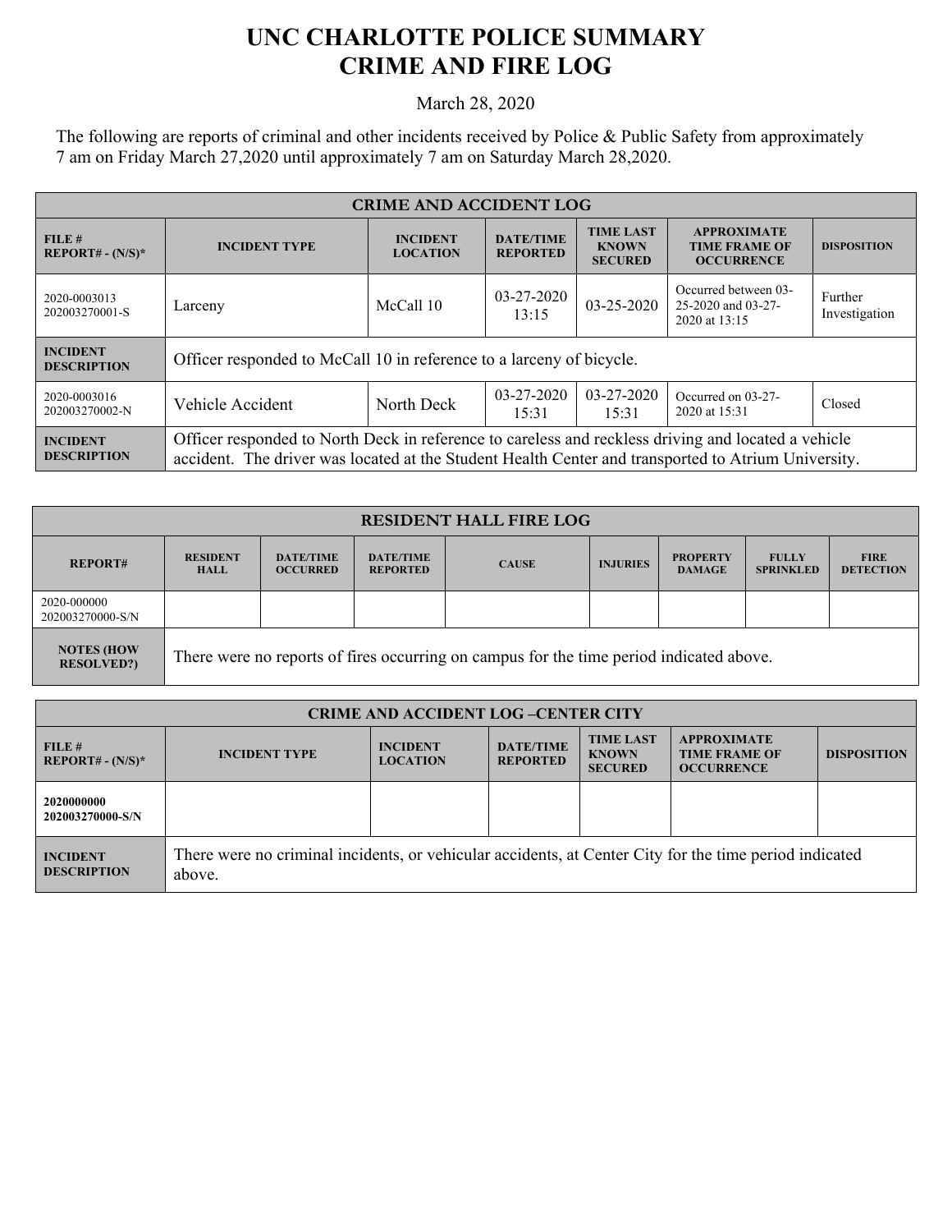## **UNC CHARLOTTE POLICE SUMMARY CRIME AND FIRE LOG**

March 28, 2020

The following are reports of criminal and other incidents received by Police & Public Safety from approximately 7 am on Friday March 27,2020 until approximately 7 am on Saturday March 28,2020.

| <b>CRIME AND ACCIDENT LOG</b>         |                                                                                                                                                                                                            |                                    |                                     |                                                    |                                                                 |                          |
|---------------------------------------|------------------------------------------------------------------------------------------------------------------------------------------------------------------------------------------------------------|------------------------------------|-------------------------------------|----------------------------------------------------|-----------------------------------------------------------------|--------------------------|
| FILE#<br>$REPORT# - (N/S)*$           | <b>INCIDENT TYPE</b>                                                                                                                                                                                       | <b>INCIDENT</b><br><b>LOCATION</b> | <b>DATE/TIME</b><br><b>REPORTED</b> | <b>TIME LAST</b><br><b>KNOWN</b><br><b>SECURED</b> | <b>APPROXIMATE</b><br><b>TIME FRAME OF</b><br><b>OCCURRENCE</b> | <b>DISPOSITION</b>       |
| 2020-0003013<br>202003270001-S        | Larceny                                                                                                                                                                                                    | McCall 10                          | 03-27-2020<br>13:15                 | 03-25-2020                                         | Occurred between 03-<br>25-2020 and 03-27-<br>2020 at 13:15     | Further<br>Investigation |
| <b>INCIDENT</b><br><b>DESCRIPTION</b> | Officer responded to McCall 10 in reference to a larceny of bicycle.                                                                                                                                       |                                    |                                     |                                                    |                                                                 |                          |
| 2020-0003016<br>202003270002-N        | Vehicle Accident                                                                                                                                                                                           | North Deck                         | $03 - 27 - 2020$<br>15:31           | $03 - 27 - 2020$<br>15:31                          | Occurred on 03-27-<br>2020 at 15:31                             | Closed                   |
| <b>INCIDENT</b><br><b>DESCRIPTION</b> | Officer responded to North Deck in reference to careless and reckless driving and located a vehicle<br>accident. The driver was located at the Student Health Center and transported to Atrium University. |                                    |                                     |                                                    |                                                                 |                          |

| <b>RESIDENT HALL FIRE LOG</b>          |                                                                                         |                                     |                                     |              |                 |                                  |                                  |                                 |
|----------------------------------------|-----------------------------------------------------------------------------------------|-------------------------------------|-------------------------------------|--------------|-----------------|----------------------------------|----------------------------------|---------------------------------|
| <b>REPORT#</b>                         | <b>RESIDENT</b><br><b>HALL</b>                                                          | <b>DATE/TIME</b><br><b>OCCURRED</b> | <b>DATE/TIME</b><br><b>REPORTED</b> | <b>CAUSE</b> | <b>INJURIES</b> | <b>PROPERTY</b><br><b>DAMAGE</b> | <b>FULLY</b><br><b>SPRINKLED</b> | <b>FIRE</b><br><b>DETECTION</b> |
| 2020-000000<br>202003270000-S/N        |                                                                                         |                                     |                                     |              |                 |                                  |                                  |                                 |
| <b>NOTES (HOW</b><br><b>RESOLVED?)</b> | There were no reports of fires occurring on campus for the time period indicated above. |                                     |                                     |              |                 |                                  |                                  |                                 |

| <b>CRIME AND ACCIDENT LOG-CENTER CITY</b> |                                                                                                                  |                                    |                                     |                                                    |                                                                 |                    |
|-------------------------------------------|------------------------------------------------------------------------------------------------------------------|------------------------------------|-------------------------------------|----------------------------------------------------|-----------------------------------------------------------------|--------------------|
| FILE#<br>$REPORT# - (N/S)*$               | <b>INCIDENT TYPE</b>                                                                                             | <b>INCIDENT</b><br><b>LOCATION</b> | <b>DATE/TIME</b><br><b>REPORTED</b> | <b>TIME LAST</b><br><b>KNOWN</b><br><b>SECURED</b> | <b>APPROXIMATE</b><br><b>TIME FRAME OF</b><br><b>OCCURRENCE</b> | <b>DISPOSITION</b> |
| 2020000000<br>202003270000-S/N            |                                                                                                                  |                                    |                                     |                                                    |                                                                 |                    |
| <b>INCIDENT</b><br><b>DESCRIPTION</b>     | There were no criminal incidents, or vehicular accidents, at Center City for the time period indicated<br>above. |                                    |                                     |                                                    |                                                                 |                    |